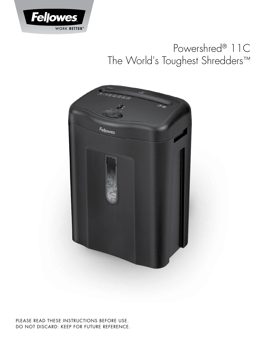

# Powershred<sup>®</sup> 11C The World's Toughest Shredders™



PLEASE READ THESE INSTRUCTIONS BEFORE USE. DO NOT DISCARD: KEEP FOR FUTURE REFERENCE.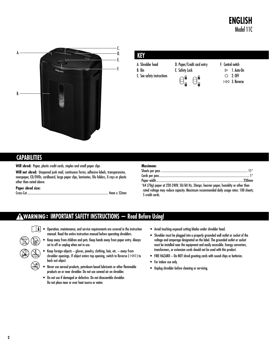### **ENGLISH** Model 11C



#### **KEY**

A. Shredder head B. Bin C. See safety instructions D. Paper/Credit card entry E. Safety Lock



- F. Control switch
	- $> 1.$  Auto-On 2. OFF

3. Reverse

#### **CAPABILITIES**

**Will shred:** Paper, plastic credit cards, staples and small paper clips

**Will not shred:** Unopened junk mail, continuous forms, adhesive labels, transparencies, newspaper, CD/DVDs, cardboard, large paper clips, laminates, file folders, X-rays or plastic other than noted above

**Paper shred size:**

Cross-Cut .................................................................................................... 4mm x 52mm

| Maximum: |                                                                                        |
|----------|----------------------------------------------------------------------------------------|
|          |                                                                                        |
|          |                                                                                        |
|          |                                                                                        |
|          | $*$ M.4. (70g) paper at 220-240V 50/60 Hz. 2 mpc; heavier paper bumidity or other than |

240V, 50/60 Hz, 2Amps; heavier paper, humidity rated voltage may reduce capacity. Maximum recommended daily usage rates: 100 sheets; 5 credit cards.

### **IMPORTANT SAFETY INSTRUCTIONS — Read Before Using!**

- $\|\mathbf{i}\|$   $\bullet$  Operation, maintenance, and service requirements are covered in the instruction manual. Read the entire instruction manual before operating shredders.
	- • Keep away from children and pets. Keep hands away from paper entry. Always set to off or unplug when not in use.
- Keep foreign objects  $-$  gloves, jewelry, clothing, hair, etc.  $-$  away from shredder openings. If object enters top opening, switch to Reverse ( $\Box \Diamond \Diamond$ ) to back out object. <u>្ត</u>
	- Never use aerosol products, petroleum based lubricants or other flammable products on or near shredder. Do not use canned air on shredder.
	- • Do not use if damaged or defective. Do not disassemble shredder. Do not place near or over heat source or water.
- • Avoid touching exposed cutting blades under shredder head.
- Shredder must be plugged into a properly grounded wall outlet or socket of the voltage and amperage designated on the label. The grounded outlet or socket must be installed near the equipment and easily accessible. Energy converters, transformers, or extension cords should not be used with this product.
- FIRE HAZARD Do NOT shred greeting cards with sound chips or batteries.
- For indoor use only.
- • Unplug shredder before cleaning or servicing.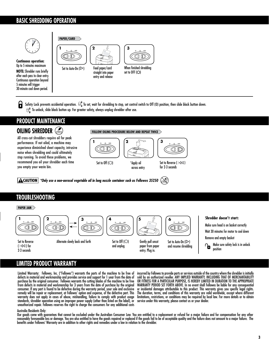#### **BASIC SHREDDING OPERATION**



**Continuous operation:** Up to 5 minutes maximum **NOTE:** Shredder runs briefly after each pass to clear entry. Continuous operation beyond 5 minutes will trigger 30-minute cool down period.



Feed paper/card straight into paper entry and release



set to OFF $(O)$ 

Ы Safety Lock prevents accidental operation.  $\,\Theta_{\bf n}^\prec\,$ To set, wait for shredding to stop, set control switch to Off (O) position, then slide black button down.  $\Theta_{\circ}^{\hat{\mathbf{b}}}$  To unlock, slide black button up. For greater safety, always unplug shredder after use.

## **PRODUCT MAINTENANCE**

#### **OILING SHREDDER**

All cross-cut shredders require oil for peak **<sup>9</sup>** performance. If not oiled, a machine may experience diminished sheet capacity, intrusive noise when shredding and could ultimately stop running. To avoid these problems, we recommend you oil your shredder each time you empty your waste bin.

**FOLLOW OILING PROCEDURE BELOW AND REPEAT TWICE**



*\*Only use a non-aerosol vegetable oil in long nozzle container such as Fellowes 35250*

### **TROUBLESHOOTING**

#### **PAPER JAM Shredder doesn't start: 1 2 3 4 5 6** Make sure head is on basket correctly ∞C OD Wait 30 minutes for motor to cool down Remove and empty basket Set to Reverse **Alternate slowly back and forth** Set to Off  $\circ$ Gently pull uncut Set to Auto-On  $(\triangleright)$ **Make sure safety lock is in unlock**  $($   $|\triangleleft\triangleleft\rangle$  for paper from paper and unplug and resume shredding position 2-3 seconds entry. Plug in.

### **LIMITED PRODUCT WARRANTY**

Limited Warranty: Fellowes, Inc. ("Fellowes") warrants the parts of the machine to be free of defects in material and workmanship and provides service and support for 1 year from the date of purchase by the original consumer. Fellowes warrants the cutting blades of the machine to be free from defects in material and workmanship for 3 years from the date of purchase by the original consumer. If any part is found to be defective during the warranty period, your sole and exclusive remedy will be repair or replacement, at Fellowes' option and expense, of the defective part. This warranty does not apply in cases of abuse, mishandling, failure to comply with product usage standards, shredder operation using an improper power supply (other than listed on the label), or unauthorized repair. Fellowes reserves the right to charge the consumers for any additional costs

incurred by Fellowes to provide parts or services outside of the country where the shredder is initially sold by an authorized reseller. ANY IMPLIED WARRANTY, INCLUDING THAT OF MERCHANTABILITY OR FITNESS FOR A PARTICULAR PURPOSE, IS HEREBY LIMITED IN DURATION TO THE APPROPRIATE WARRANTY PERIOD SET FORTH ABOVE. In no event shall Fellowes be liable for any consequential or incidental damages attributable to this product. This warranty gives you specific legal rights. The duration, terms, and conditions of this warranty are valid worldwide, except where different limitations, restrictions, or conditions may be required by local law. For more details or to obtain service under this warranty, please contact us or your dealer.

#### Australia Residents Only:

Our goods come with guarantees that cannot be excluded under the Australian Consumer Law. You are entitled to a replacement or refund for a major failure and for compensation for any other reasonably foreseeable loss or damage. You are also entitled to have the goods repaired or replaced if the goods fail to be of acceptable quality and the failure does not amount to a major failure. The benefits under Fellowes' Warranty are in addition to other rights and remedies under a law in relation to the shredder.